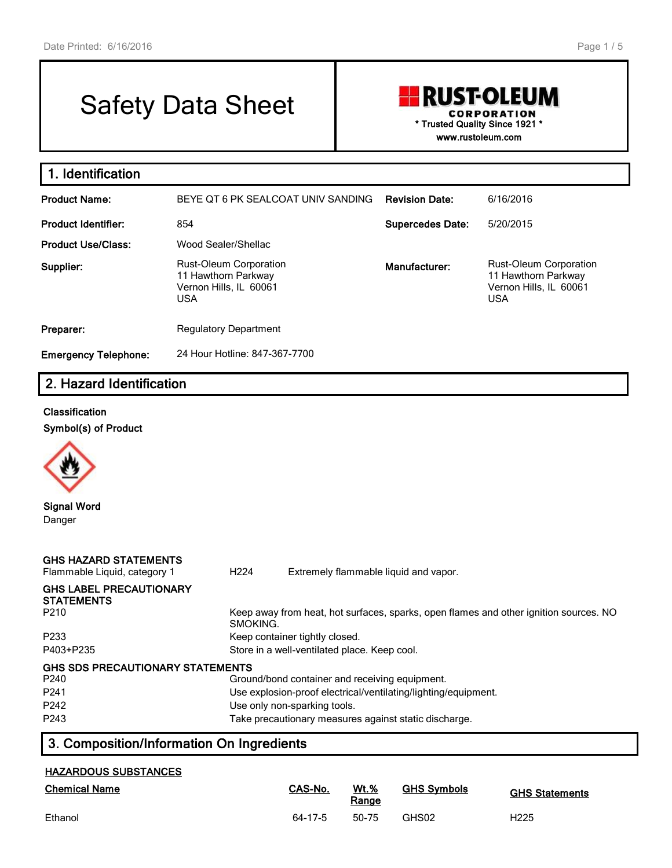# Safety Data Sheet

# **RUST-OLEUM** CORPORATION **\* Trusted Quality Since 1921 \***

**www.rustoleum.com**

| 1. Identification           |                                                                                              |                         |                                                                                              |
|-----------------------------|----------------------------------------------------------------------------------------------|-------------------------|----------------------------------------------------------------------------------------------|
| <b>Product Name:</b>        | BEYE OT 6 PK SEALCOAT UNIV SANDING                                                           | <b>Revision Date:</b>   | 6/16/2016                                                                                    |
| <b>Product Identifier:</b>  | 854                                                                                          | <b>Supercedes Date:</b> | 5/20/2015                                                                                    |
| <b>Product Use/Class:</b>   | Wood Sealer/Shellac                                                                          |                         |                                                                                              |
| Supplier:                   | <b>Rust-Oleum Corporation</b><br>11 Hawthorn Parkway<br>Vernon Hills, IL 60061<br><b>USA</b> | Manufacturer:           | <b>Rust-Oleum Corporation</b><br>11 Hawthorn Parkway<br>Vernon Hills, IL 60061<br><b>USA</b> |
| Preparer:                   | <b>Regulatory Department</b>                                                                 |                         |                                                                                              |
| <b>Emergency Telephone:</b> | 24 Hour Hotline: 847-367-7700                                                                |                         |                                                                                              |

# **2. Hazard Identification**

#### **Classification**

**Symbol(s) of Product**



**Signal Word** Danger

| <b>GHS HAZARD STATEMENTS</b><br>Flammable Liquid, category 1                                 | H <sub>224</sub>                                                               | Extremely flammable liquid and vapor.                                                                                                            |  |
|----------------------------------------------------------------------------------------------|--------------------------------------------------------------------------------|--------------------------------------------------------------------------------------------------------------------------------------------------|--|
| <b>GHS LABEL PRECAUTIONARY</b><br><b>STATEMENTS</b><br>P <sub>210</sub>                      | SMOKING.                                                                       | Keep away from heat, hot surfaces, sparks, open flames and other ignition sources. NO                                                            |  |
| P <sub>2</sub> 33<br>P403+P235                                                               | Keep container tightly closed.<br>Store in a well-ventilated place. Keep cool. |                                                                                                                                                  |  |
| GHS SDS PRECAUTIONARY STATEMENTS<br>P <sub>240</sub><br>P <sub>241</sub><br>P <sub>242</sub> |                                                                                | Ground/bond container and receiving equipment.<br>Use explosion-proof electrical/ventilating/lighting/equipment.<br>Use only non-sparking tools. |  |
| P <sub>243</sub>                                                                             |                                                                                | Take precautionary measures against static discharge.                                                                                            |  |

# **3. Composition/Information On Ingredients**

#### **HAZARDOUS SUBSTANCES**

| <b>Chemical Name</b> | CAS-No. | $Wt.$ %<br>Range | <b>GHS Symbols</b> | <b>GHS Statements</b> |
|----------------------|---------|------------------|--------------------|-----------------------|
| Ethanol              | 64-17-5 | 50-75            | GHS02              | H225                  |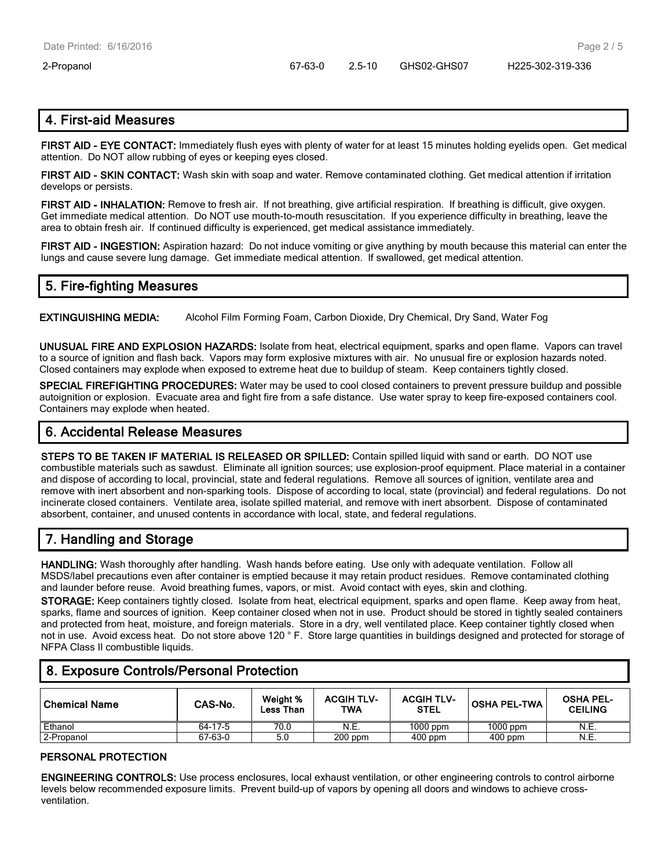## **4. First-aid Measures**

**FIRST AID - EYE CONTACT:** Immediately flush eyes with plenty of water for at least 15 minutes holding eyelids open. Get medical attention. Do NOT allow rubbing of eyes or keeping eyes closed.

**FIRST AID - SKIN CONTACT:** Wash skin with soap and water. Remove contaminated clothing. Get medical attention if irritation develops or persists.

**FIRST AID - INHALATION:** Remove to fresh air. If not breathing, give artificial respiration. If breathing is difficult, give oxygen. Get immediate medical attention. Do NOT use mouth-to-mouth resuscitation. If you experience difficulty in breathing, leave the area to obtain fresh air. If continued difficulty is experienced, get medical assistance immediately.

**FIRST AID - INGESTION:** Aspiration hazard: Do not induce vomiting or give anything by mouth because this material can enter the lungs and cause severe lung damage. Get immediate medical attention. If swallowed, get medical attention.

## **5. Fire-fighting Measures**

**EXTINGUISHING MEDIA:** Alcohol Film Forming Foam, Carbon Dioxide, Dry Chemical, Dry Sand, Water Fog

**UNUSUAL FIRE AND EXPLOSION HAZARDS:** Isolate from heat, electrical equipment, sparks and open flame. Vapors can travel to a source of ignition and flash back. Vapors may form explosive mixtures with air. No unusual fire or explosion hazards noted. Closed containers may explode when exposed to extreme heat due to buildup of steam. Keep containers tightly closed.

**SPECIAL FIREFIGHTING PROCEDURES:** Water may be used to cool closed containers to prevent pressure buildup and possible autoignition or explosion. Evacuate area and fight fire from a safe distance. Use water spray to keep fire-exposed containers cool. Containers may explode when heated.

## **6. Accidental Release Measures**

**STEPS TO BE TAKEN IF MATERIAL IS RELEASED OR SPILLED:** Contain spilled liquid with sand or earth. DO NOT use combustible materials such as sawdust. Eliminate all ignition sources; use explosion-proof equipment. Place material in a container and dispose of according to local, provincial, state and federal regulations. Remove all sources of ignition, ventilate area and remove with inert absorbent and non-sparking tools. Dispose of according to local, state (provincial) and federal regulations. Do not incinerate closed containers. Ventilate area, isolate spilled material, and remove with inert absorbent. Dispose of contaminated absorbent, container, and unused contents in accordance with local, state, and federal regulations.

# **7. Handling and Storage**

**HANDLING:** Wash thoroughly after handling. Wash hands before eating. Use only with adequate ventilation. Follow all MSDS/label precautions even after container is emptied because it may retain product residues. Remove contaminated clothing and launder before reuse. Avoid breathing fumes, vapors, or mist. Avoid contact with eyes, skin and clothing.

**STORAGE:** Keep containers tightly closed. Isolate from heat, electrical equipment, sparks and open flame. Keep away from heat, sparks, flame and sources of ignition. Keep container closed when not in use. Product should be stored in tightly sealed containers and protected from heat, moisture, and foreign materials. Store in a dry, well ventilated place. Keep container tightly closed when not in use. Avoid excess heat. Do not store above 120 ° F. Store large quantities in buildings designed and protected for storage of NFPA Class II combustible liquids.

## **8. Exposure Controls/Personal Protection**

| ∣Chemical Name | CAS-No. | Weight %<br>Less Than | <b>ACGIH TLV-</b><br><b>TWA</b> | <b>ACGIH TLV-</b><br><b>STEL</b> | <b>OSHA PEL-TWA</b> | <b>OSHA PEL-</b><br><b>CEILING</b> |
|----------------|---------|-----------------------|---------------------------------|----------------------------------|---------------------|------------------------------------|
| Ethanol        | 64-17-5 | 70.0                  | N.E.                            | $1000$ ppm                       | $1000$ ppm          | <b>N.E.</b>                        |
| 2-Propanol     | 67-63-0 | 5.0                   | $200$ ppm                       | $400$ ppm                        | $400$ ppm           | N.E.                               |

#### **PERSONAL PROTECTION**

**ENGINEERING CONTROLS:** Use process enclosures, local exhaust ventilation, or other engineering controls to control airborne levels below recommended exposure limits. Prevent build-up of vapors by opening all doors and windows to achieve crossventilation.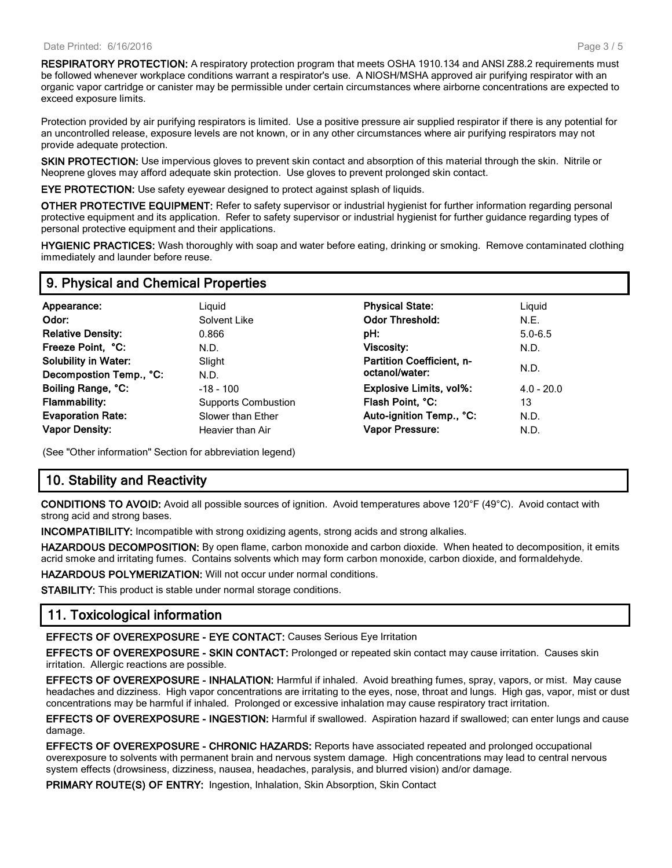Page 3 / 5

**RESPIRATORY PROTECTION:** A respiratory protection program that meets OSHA 1910.134 and ANSI Z88.2 requirements must be followed whenever workplace conditions warrant a respirator's use. A NIOSH/MSHA approved air purifying respirator with an organic vapor cartridge or canister may be permissible under certain circumstances where airborne concentrations are expected to exceed exposure limits.

Protection provided by air purifying respirators is limited. Use a positive pressure air supplied respirator if there is any potential for an uncontrolled release, exposure levels are not known, or in any other circumstances where air purifying respirators may not provide adequate protection.

**SKIN PROTECTION:** Use impervious gloves to prevent skin contact and absorption of this material through the skin. Nitrile or Neoprene gloves may afford adequate skin protection. Use gloves to prevent prolonged skin contact.

**EYE PROTECTION:** Use safety eyewear designed to protect against splash of liquids.

**OTHER PROTECTIVE EQUIPMENT:** Refer to safety supervisor or industrial hygienist for further information regarding personal protective equipment and its application. Refer to safety supervisor or industrial hygienist for further guidance regarding types of personal protective equipment and their applications.

**HYGIENIC PRACTICES:** Wash thoroughly with soap and water before eating, drinking or smoking. Remove contaminated clothing immediately and launder before reuse.

#### **9. Physical and Chemical Properties**

| Appearance:<br>Odor:<br><b>Relative Density:</b>       | Liguid<br>Solvent Like<br>0.866 | <b>Physical State:</b><br><b>Odor Threshold:</b><br>pH: | Liquid<br>N.E.<br>$5.0 - 6.5$ |
|--------------------------------------------------------|---------------------------------|---------------------------------------------------------|-------------------------------|
| Freeze Point, °C:                                      | N.D.                            | <b>Viscosity:</b>                                       | N.D.                          |
| <b>Solubility in Water:</b><br>Decompostion Temp., °C: | Slight<br>N.D.                  | <b>Partition Coefficient, n-</b><br>octanol/water:      | N.D.                          |
| Boiling Range, °C:                                     | $-18 - 100$                     | <b>Explosive Limits, vol%:</b>                          | $4.0 - 20.0$                  |
| <b>Flammability:</b>                                   | <b>Supports Combustion</b>      | Flash Point, °C:                                        | 13                            |
| <b>Evaporation Rate:</b>                               | Slower than Ether               | Auto-ignition Temp., °C:                                | N.D.                          |
| <b>Vapor Density:</b>                                  | Heavier than Air                | <b>Vapor Pressure:</b>                                  | N.D.                          |

(See "Other information" Section for abbreviation legend)

#### **10. Stability and Reactivity**

**CONDITIONS TO AVOID:** Avoid all possible sources of ignition. Avoid temperatures above 120°F (49°C). Avoid contact with strong acid and strong bases.

**INCOMPATIBILITY:** Incompatible with strong oxidizing agents, strong acids and strong alkalies.

**HAZARDOUS DECOMPOSITION:** By open flame, carbon monoxide and carbon dioxide. When heated to decomposition, it emits acrid smoke and irritating fumes. Contains solvents which may form carbon monoxide, carbon dioxide, and formaldehyde.

**HAZARDOUS POLYMERIZATION:** Will not occur under normal conditions.

**STABILITY:** This product is stable under normal storage conditions.

#### **11. Toxicological information**

**EFFECTS OF OVEREXPOSURE - EYE CONTACT:** Causes Serious Eye Irritation

**EFFECTS OF OVEREXPOSURE - SKIN CONTACT:** Prolonged or repeated skin contact may cause irritation. Causes skin irritation. Allergic reactions are possible.

**EFFECTS OF OVEREXPOSURE - INHALATION:** Harmful if inhaled. Avoid breathing fumes, spray, vapors, or mist. May cause headaches and dizziness. High vapor concentrations are irritating to the eyes, nose, throat and lungs. High gas, vapor, mist or dust concentrations may be harmful if inhaled. Prolonged or excessive inhalation may cause respiratory tract irritation.

**EFFECTS OF OVEREXPOSURE - INGESTION:** Harmful if swallowed. Aspiration hazard if swallowed; can enter lungs and cause damage.

**EFFECTS OF OVEREXPOSURE - CHRONIC HAZARDS:** Reports have associated repeated and prolonged occupational overexposure to solvents with permanent brain and nervous system damage. High concentrations may lead to central nervous system effects (drowsiness, dizziness, nausea, headaches, paralysis, and blurred vision) and/or damage.

**PRIMARY ROUTE(S) OF ENTRY:** Ingestion, Inhalation, Skin Absorption, Skin Contact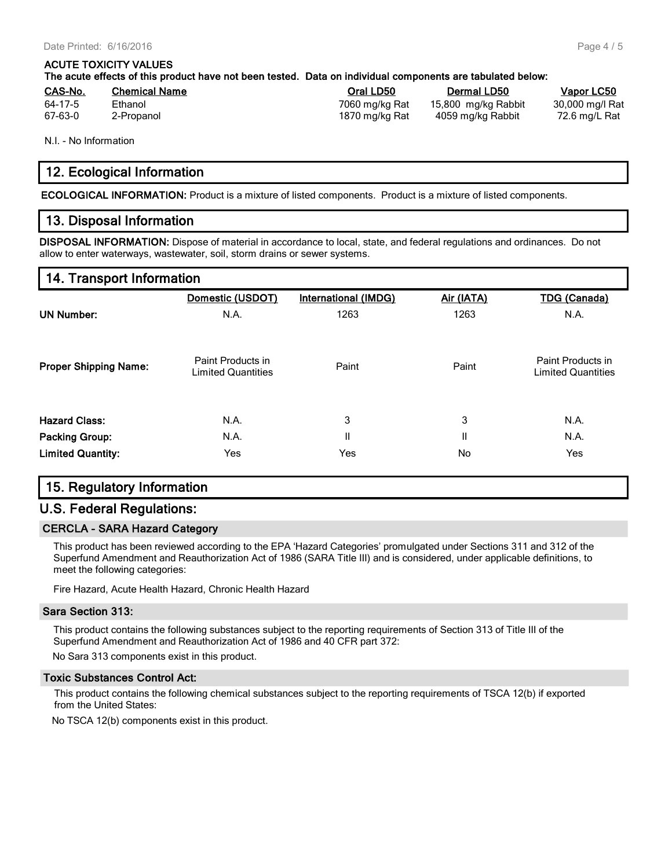#### **ACUTE TOXICITY VALUES**

| The acute effects of this product have not been tested. Data on individual components are tabulated below: |  |  |
|------------------------------------------------------------------------------------------------------------|--|--|
|------------------------------------------------------------------------------------------------------------|--|--|

| <u>CAS-No.</u> | <b>Chemical Name</b> | Oral LD50      | <b>Dermal LD50</b>  | Vapor LC50      |
|----------------|----------------------|----------------|---------------------|-----------------|
| 64-17-5        | Ethanol              | 7060 mg/kg Rat | 15,800 mg/kg Rabbit | 30,000 mg/l Rat |
| 67-63-0        | 2-Propanol           | 1870 mg/kg Rat | 4059 mg/kg Rabbit   | 72.6 mg/L Rat   |

N.I. - No Information

#### **12. Ecological Information**

**ECOLOGICAL INFORMATION:** Product is a mixture of listed components. Product is a mixture of listed components.

#### **13. Disposal Information**

**DISPOSAL INFORMATION:** Dispose of material in accordance to local, state, and federal regulations and ordinances. Do not allow to enter waterways, wastewater, soil, storm drains or sewer systems.

#### **14. Transport Information**

|                              | Domestic (USDOT)                               | International (IMDG) | Air (IATA) | <b>TDG (Canada)</b>                            |
|------------------------------|------------------------------------------------|----------------------|------------|------------------------------------------------|
| <b>UN Number:</b>            | N.A.                                           | 1263                 | 1263       | N.A.                                           |
| <b>Proper Shipping Name:</b> | Paint Products in<br><b>Limited Quantities</b> | Paint                | Paint      | Paint Products in<br><b>Limited Quantities</b> |
| <b>Hazard Class:</b>         | N.A.                                           | 3                    | 3          | N.A.                                           |
| <b>Packing Group:</b>        | N.A.                                           | Ш                    | Ш          | N.A.                                           |
| <b>Limited Quantity:</b>     | Yes                                            | Yes                  | No         | Yes                                            |

## **15. Regulatory Information**

#### **U.S. Federal Regulations:**

#### **CERCLA - SARA Hazard Category**

This product has been reviewed according to the EPA 'Hazard Categories' promulgated under Sections 311 and 312 of the Superfund Amendment and Reauthorization Act of 1986 (SARA Title III) and is considered, under applicable definitions, to meet the following categories:

Fire Hazard, Acute Health Hazard, Chronic Health Hazard

#### **Sara Section 313:**

This product contains the following substances subject to the reporting requirements of Section 313 of Title III of the Superfund Amendment and Reauthorization Act of 1986 and 40 CFR part 372:

No Sara 313 components exist in this product.

#### **Toxic Substances Control Act:**

This product contains the following chemical substances subject to the reporting requirements of TSCA 12(b) if exported from the United States:

No TSCA 12(b) components exist in this product.